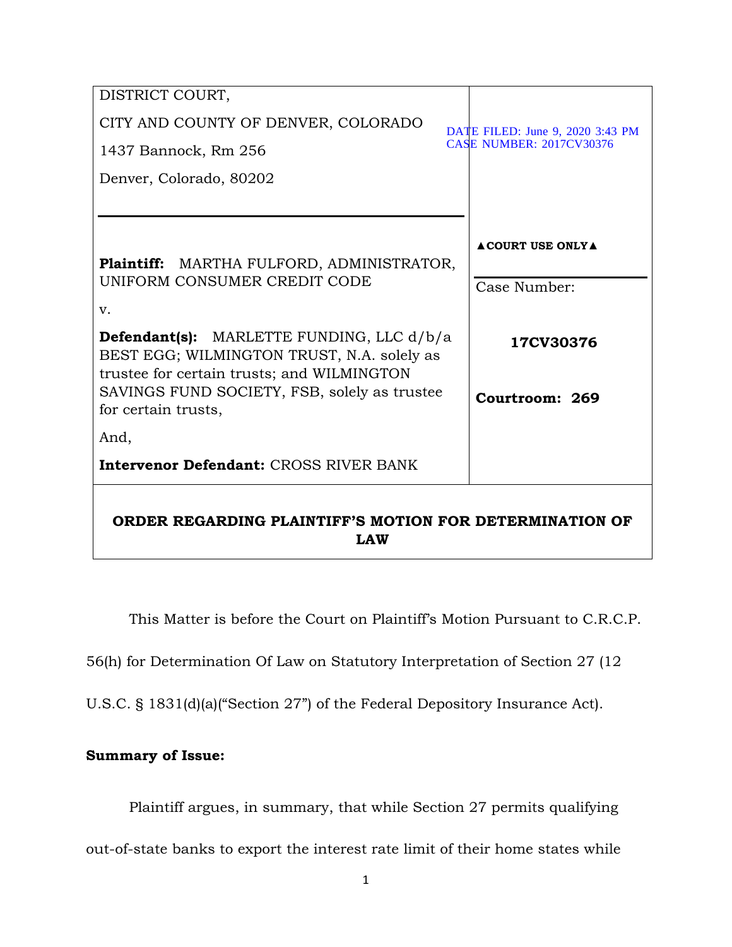| DISTRICT COURT,                                                                                                                              |                                  |
|----------------------------------------------------------------------------------------------------------------------------------------------|----------------------------------|
| CITY AND COUNTY OF DENVER, COLORADO                                                                                                          | DATE FILED: June 9, 2020 3:43 PM |
| 1437 Bannock, Rm 256                                                                                                                         | <b>CASE NUMBER: 2017CV30376</b>  |
| Denver, Colorado, 80202                                                                                                                      |                                  |
|                                                                                                                                              |                                  |
| Plaintiff: MARTHA FULFORD, ADMINISTRATOR,                                                                                                    | <b>ACOURT USE ONLYA</b>          |
| UNIFORM CONSUMER CREDIT CODE                                                                                                                 | Case Number:                     |
| v.                                                                                                                                           |                                  |
| <b>Defendant(s):</b> MARLETTE FUNDING, LLC d/b/a<br>BEST EGG; WILMINGTON TRUST, N.A. solely as<br>trustee for certain trusts; and WILMINGTON | 17CV30376                        |
| SAVINGS FUND SOCIETY, FSB, solely as trustee<br>for certain trusts,                                                                          | Courtroom: 269                   |
| And,                                                                                                                                         |                                  |
| <b>Intervenor Defendant: CROSS RIVER BANK</b>                                                                                                |                                  |
| ORDER REGARDING PLAINTIFF'S MOTION FOR DETERMINATION OF<br><b>LAW</b>                                                                        |                                  |

This Matter is before the Court on Plaintiff's Motion Pursuant to C.R.C.P.

56(h) for Determination Of Law on Statutory Interpretation of Section 27 (12

U.S.C. § 1831(d)(a)("Section 27") of the Federal Depository Insurance Act).

# **Summary of Issue:**

Plaintiff argues, in summary, that while Section 27 permits qualifying

out-of-state banks to export the interest rate limit of their home states while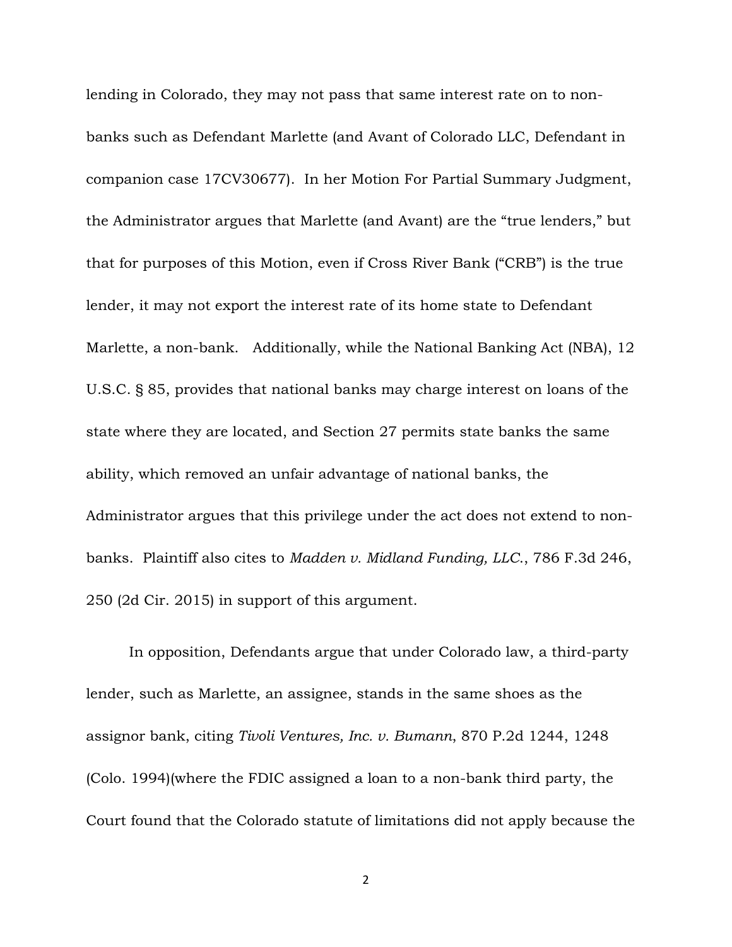lending in Colorado, they may not pass that same interest rate on to nonbanks such as Defendant Marlette (and Avant of Colorado LLC, Defendant in companion case 17CV30677). In her Motion For Partial Summary Judgment, the Administrator argues that Marlette (and Avant) are the "true lenders," but that for purposes of this Motion, even if Cross River Bank ("CRB") is the true lender, it may not export the interest rate of its home state to Defendant Marlette, a non-bank. Additionally, while the National Banking Act (NBA), 12 U.S.C. § 85, provides that national banks may charge interest on loans of the state where they are located, and Section 27 permits state banks the same ability, which removed an unfair advantage of national banks, the Administrator argues that this privilege under the act does not extend to nonbanks. Plaintiff also cites to *Madden v. Midland Funding, LLC*., 786 F.3d 246, 250 (2d Cir. 2015) in support of this argument.

In opposition, Defendants argue that under Colorado law, a third-party lender, such as Marlette, an assignee, stands in the same shoes as the assignor bank, citing *Tivoli Ventures, Inc. v. Bumann*, 870 P.2d 1244, 1248 (Colo. 1994)(where the FDIC assigned a loan to a non-bank third party, the Court found that the Colorado statute of limitations did not apply because the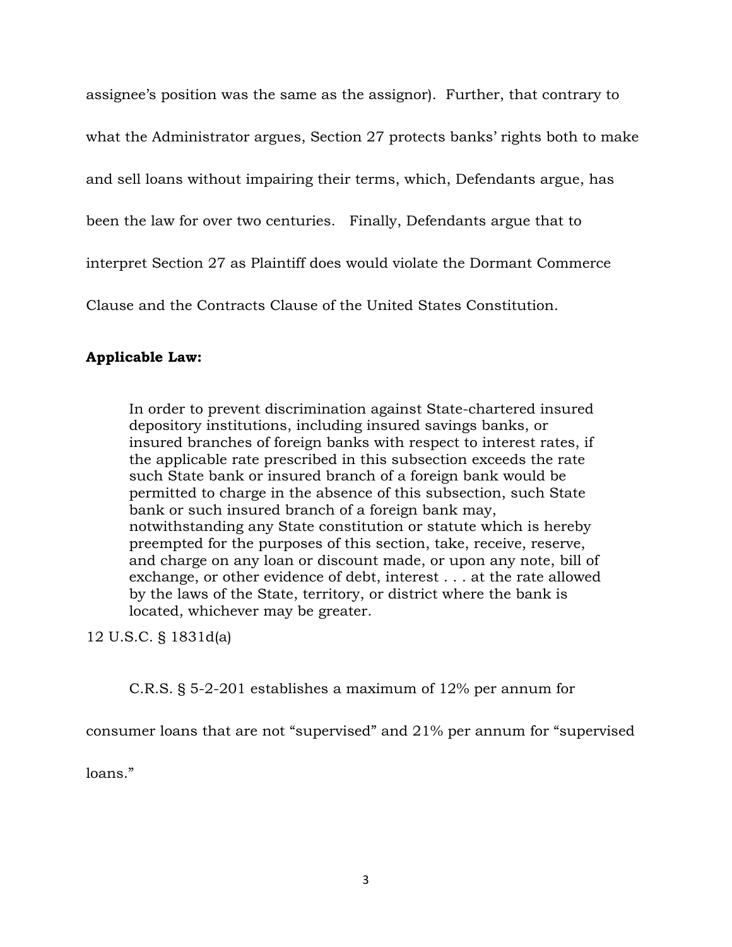assignee's position was the same as the assignor). Further, that contrary to what the Administrator argues, Section 27 protects banks' rights both to make and sell loans without impairing their terms, which, Defendants argue, has been the law for over two centuries. Finally, Defendants argue that to interpret Section 27 as Plaintiff does would violate the Dormant Commerce Clause and the Contracts Clause of the United States Constitution.

# **Applicable Law:**

In order to prevent discrimination against State-chartered insured depository institutions, including insured savings banks, or insured branches of foreign banks with respect to interest rates, if the applicable rate prescribed in this subsection exceeds the rate such State bank or insured branch of a foreign bank would be permitted to charge in the absence of this subsection, such State bank or such insured branch of a foreign bank may, notwithstanding any State constitution or statute which is hereby preempted for the purposes of this section, take, receive, reserve, and charge on any loan or discount made, or upon any note, bill of exchange, or other evidence of debt, interest . . . at the rate allowed by the laws of the State, territory, or district where the bank is located, whichever may be greater.

12 U.S.C. § 1831d(a)

C.R.S. § 5-2-201 establishes a maximum of 12% per annum for

consumer loans that are not "supervised" and 21% per annum for "supervised

loans."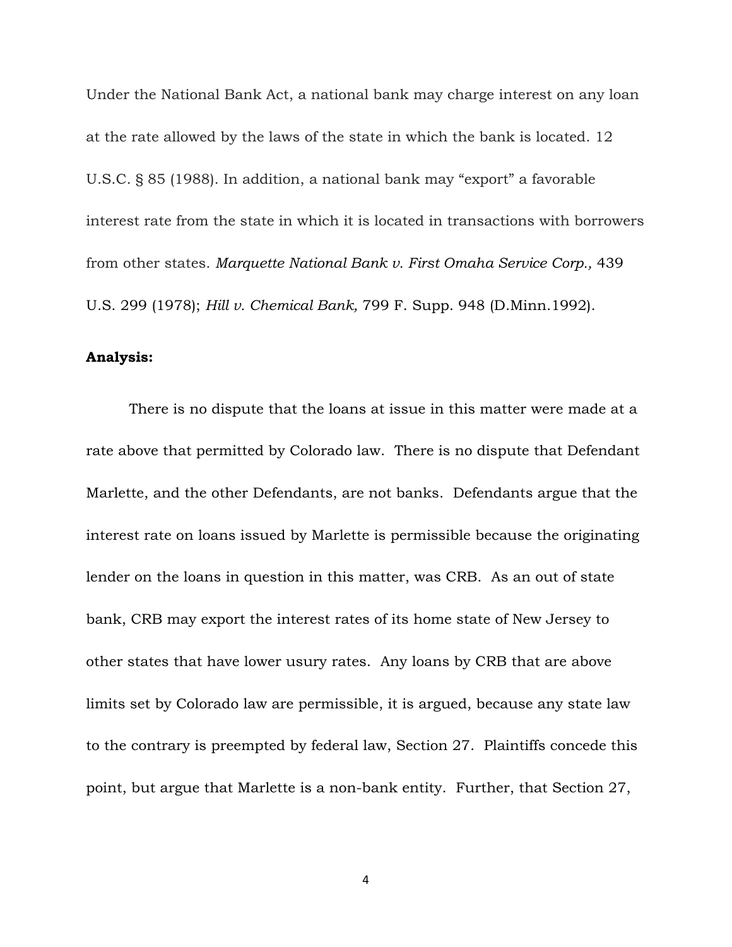Under the National Bank Act, a national bank may charge interest on any loan at the rate allowed by the laws of the state in which the bank is located. 12 U.S.C. § 85 (1988). In addition, a national bank may "export" a favorable interest rate from the state in which it is located in transactions with borrowers from other states. *Marquette National Bank v. First Omaha Service Corp.,* 439 U.S. 299 (1978); *Hill v. Chemical Bank,* 799 F. Supp. 948 (D.Minn.1992).

### **Analysis:**

There is no dispute that the loans at issue in this matter were made at a rate above that permitted by Colorado law. There is no dispute that Defendant Marlette, and the other Defendants, are not banks. Defendants argue that the interest rate on loans issued by Marlette is permissible because the originating lender on the loans in question in this matter, was CRB. As an out of state bank, CRB may export the interest rates of its home state of New Jersey to other states that have lower usury rates. Any loans by CRB that are above limits set by Colorado law are permissible, it is argued, because any state law to the contrary is preempted by federal law, Section 27. Plaintiffs concede this point, but argue that Marlette is a non-bank entity. Further, that Section 27,

4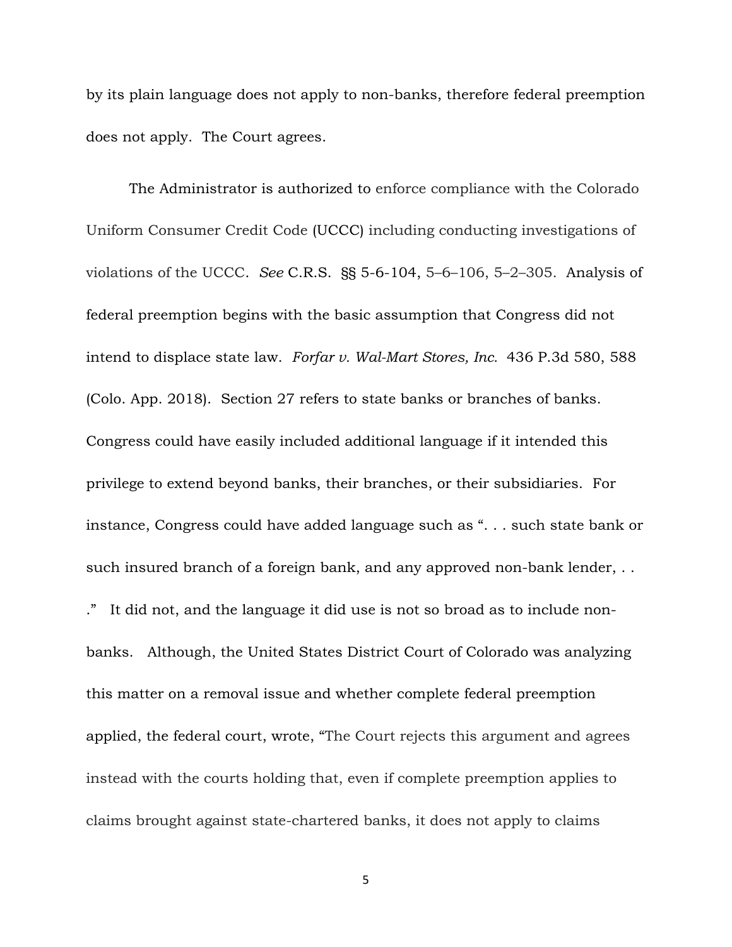by its plain language does not apply to non-banks, therefore federal preemption does not apply. The Court agrees.

The Administrator is authorized to enforce compliance with the Colorado Uniform Consumer Credit Code (UCCC) including conducting investigations of violations of the UCCC. *See* C.R.S. §§ 5-6-104, 5–6–106, 5–2–305. Analysis of federal preemption begins with the basic assumption that Congress did not intend to displace state law. *Forfar v. Wal-Mart Stores, Inc.* 436 P.3d 580, 588 (Colo. App. 2018). Section 27 refers to state banks or branches of banks. Congress could have easily included additional language if it intended this privilege to extend beyond banks, their branches, or their subsidiaries. For instance, Congress could have added language such as ". . . such state bank or such insured branch of a foreign bank, and any approved non-bank lender, . . ." It did not, and the language it did use is not so broad as to include nonbanks. Although, the United States District Court of Colorado was analyzing this matter on a removal issue and whether complete federal preemption applied, the federal court, wrote, "The Court rejects this argument and agrees instead with the courts holding that, even if complete preemption applies to claims brought against state-chartered banks, it does not apply to claims

5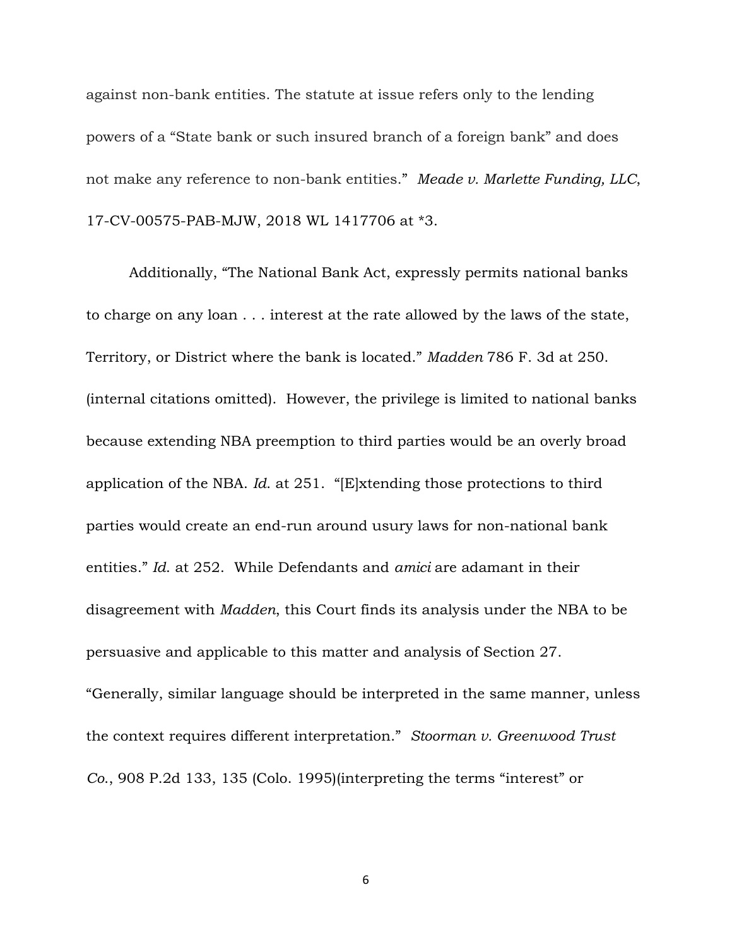against non-bank entities. The statute at issue refers only to the lending powers of a "State bank or such insured branch of a foreign bank" and does not make any reference to non-bank entities." *Meade v. Marlette Funding, LLC*, 17-CV-00575-PAB-MJW, 2018 WL 1417706 at \*3.

Additionally, "The National Bank Act, expressly permits national banks to charge on any loan . . . interest at the rate allowed by the laws of the state, Territory, or District where the bank is located." *Madden* 786 F. 3d at 250. (internal citations omitted). However, the privilege is limited to national banks because extending NBA preemption to third parties would be an overly broad application of the NBA. *Id*. at 251. "[E]xtending those protections to third parties would create an end-run around usury laws for non-national bank entities." *Id*. at 252. While Defendants and *amici* are adamant in their disagreement with *Madden*, this Court finds its analysis under the NBA to be persuasive and applicable to this matter and analysis of Section 27. "Generally, similar language should be interpreted in the same manner, unless the context requires different interpretation." *Stoorman v. Greenwood Trust Co*., 908 P.2d 133, 135 (Colo. 1995)(interpreting the terms "interest" or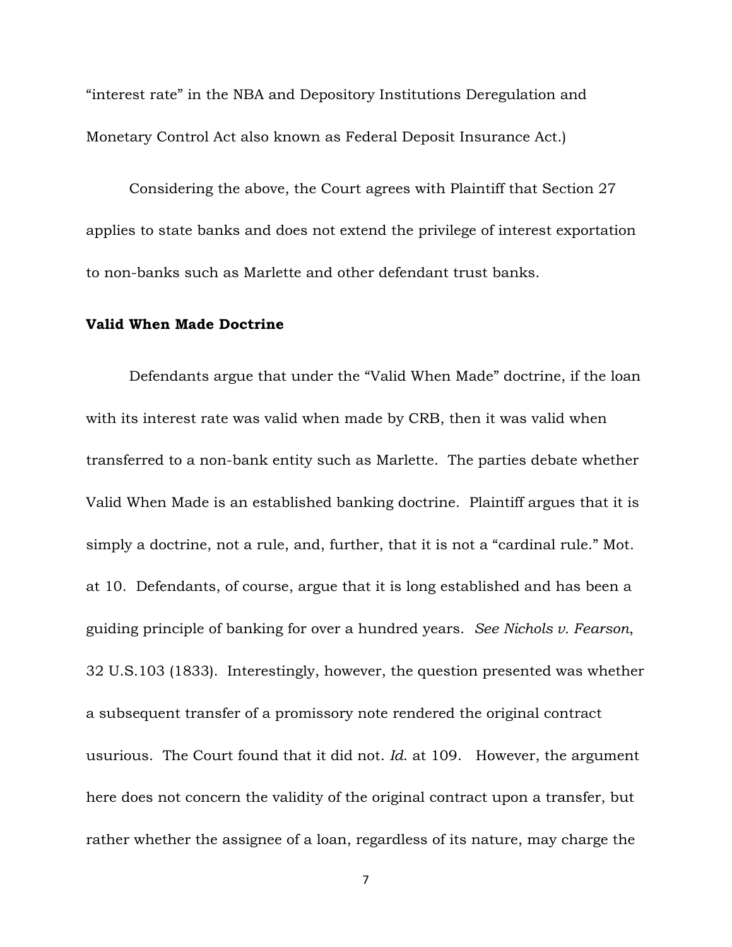"interest rate" in the NBA and Depository Institutions Deregulation and Monetary Control Act also known as Federal Deposit Insurance Act.)

Considering the above, the Court agrees with Plaintiff that Section 27 applies to state banks and does not extend the privilege of interest exportation to non-banks such as Marlette and other defendant trust banks.

#### **Valid When Made Doctrine**

Defendants argue that under the "Valid When Made" doctrine, if the loan with its interest rate was valid when made by CRB, then it was valid when transferred to a non-bank entity such as Marlette. The parties debate whether Valid When Made is an established banking doctrine. Plaintiff argues that it is simply a doctrine, not a rule, and, further, that it is not a "cardinal rule." Mot. at 10. Defendants, of course, argue that it is long established and has been a guiding principle of banking for over a hundred years. *See Nichols v. Fearson*, 32 U.S.103 (1833). Interestingly, however, the question presented was whether a subsequent transfer of a promissory note rendered the original contract usurious. The Court found that it did not. *Id*. at 109. However, the argument here does not concern the validity of the original contract upon a transfer, but rather whether the assignee of a loan, regardless of its nature, may charge the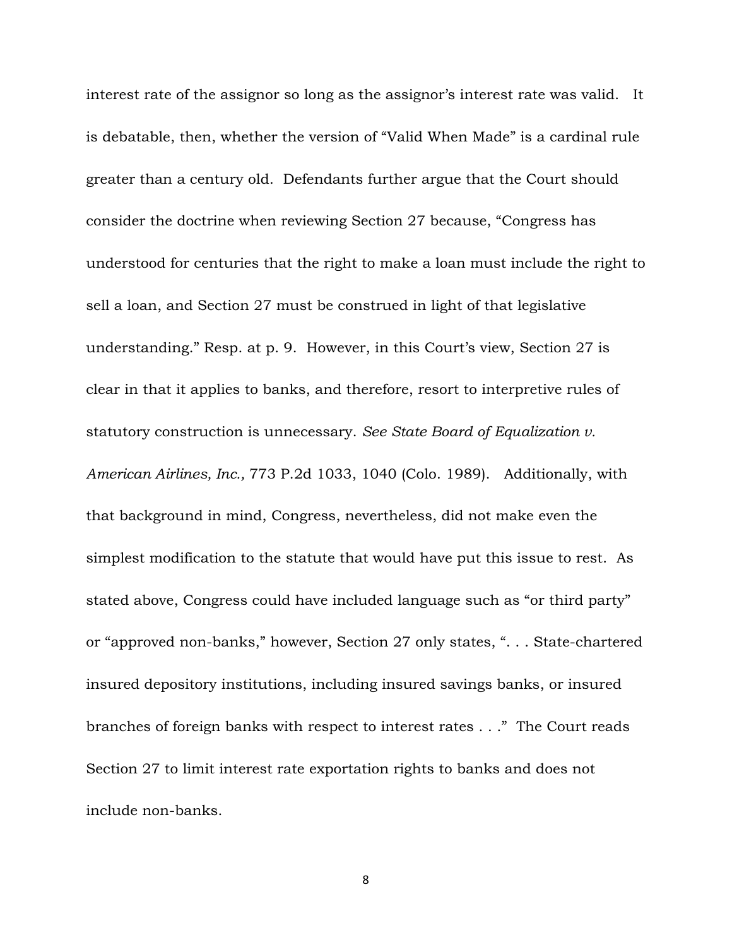interest rate of the assignor so long as the assignor's interest rate was valid. It is debatable, then, whether the version of "Valid When Made" is a cardinal rule greater than a century old. Defendants further argue that the Court should consider the doctrine when reviewing Section 27 because, "Congress has understood for centuries that the right to make a loan must include the right to sell a loan, and Section 27 must be construed in light of that legislative understanding." Resp. at p. 9. However, in this Court's view, Section 27 is clear in that it applies to banks, and therefore, resort to interpretive rules of statutory construction is unnecessary. *See State Board of Equalization v. American Airlines, Inc.,* 773 P.2d 1033, 1040 (Colo. 1989). Additionally, with that background in mind, Congress, nevertheless, did not make even the simplest modification to the statute that would have put this issue to rest. As stated above, Congress could have included language such as "or third party" or "approved non-banks," however, Section 27 only states, ". . . State-chartered insured depository institutions, including insured savings banks, or insured branches of foreign banks with respect to interest rates . . ." The Court reads Section 27 to limit interest rate exportation rights to banks and does not include non-banks.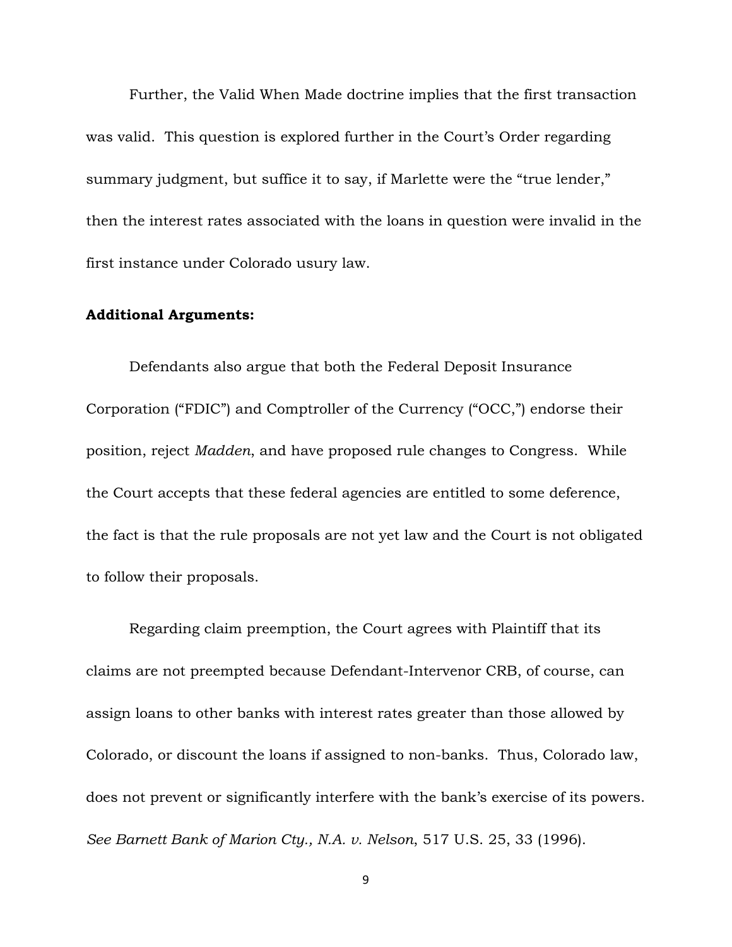Further, the Valid When Made doctrine implies that the first transaction was valid. This question is explored further in the Court's Order regarding summary judgment, but suffice it to say, if Marlette were the "true lender," then the interest rates associated with the loans in question were invalid in the first instance under Colorado usury law.

#### **Additional Arguments:**

Defendants also argue that both the Federal Deposit Insurance Corporation ("FDIC") and Comptroller of the Currency ("OCC,") endorse their position, reject *Madden*, and have proposed rule changes to Congress. While the Court accepts that these federal agencies are entitled to some deference, the fact is that the rule proposals are not yet law and the Court is not obligated to follow their proposals.

Regarding claim preemption, the Court agrees with Plaintiff that its claims are not preempted because Defendant-Intervenor CRB, of course, can assign loans to other banks with interest rates greater than those allowed by Colorado, or discount the loans if assigned to non-banks. Thus, Colorado law, does not prevent or significantly interfere with the bank's exercise of its powers. *See Barnett Bank of Marion Cty., N.A. v. Nelson*, 517 U.S. 25, 33 (1996).

9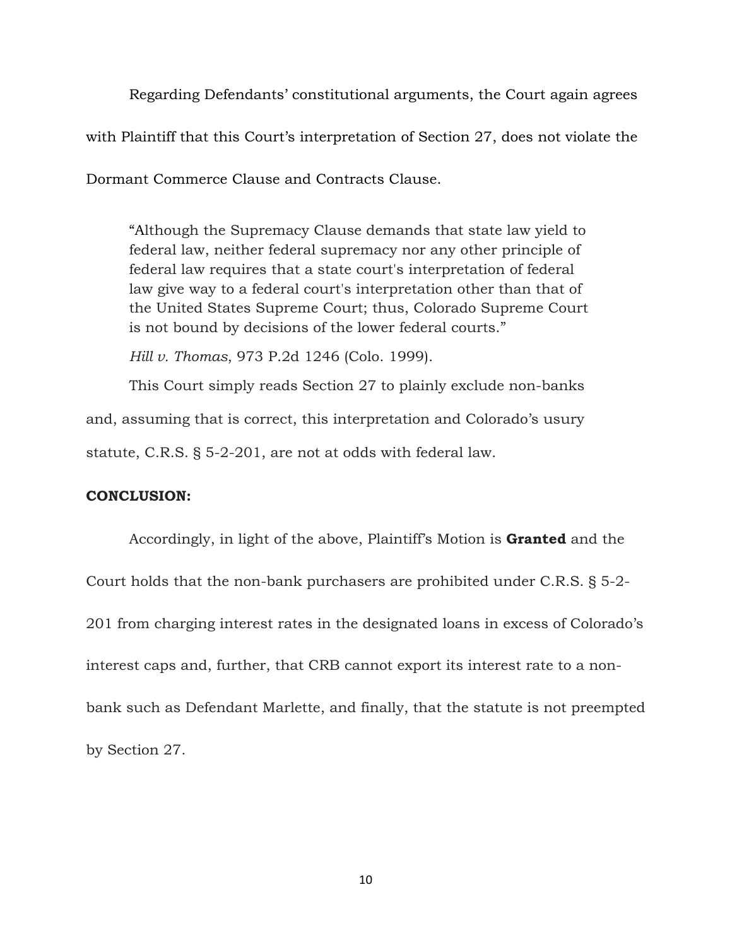Regarding Defendants' constitutional arguments, the Court again agrees with Plaintiff that this Court's interpretation of Section 27, does not violate the

Dormant Commerce Clause and Contracts Clause.

"Although the Supremacy Clause demands that state law yield to federal law, neither federal supremacy nor any other principle of federal law requires that a state court's interpretation of federal law give way to a federal court's interpretation other than that of the United States Supreme Court; thus, Colorado Supreme Court is not bound by decisions of the lower federal courts."

*Hill v. Thomas*, 973 P.2d 1246 (Colo. 1999).

This Court simply reads Section 27 to plainly exclude non-banks

and, assuming that is correct, this interpretation and Colorado's usury

statute, C.R.S. § 5-2-201, are not at odds with federal law.

### **CONCLUSION:**

Accordingly, in light of the above, Plaintiff's Motion is **Granted** and the Court holds that the non-bank purchasers are prohibited under C.R.S. § 5-2- 201 from charging interest rates in the designated loans in excess of Colorado's interest caps and, further, that CRB cannot export its interest rate to a nonbank such as Defendant Marlette, and finally, that the statute is not preempted by Section 27.